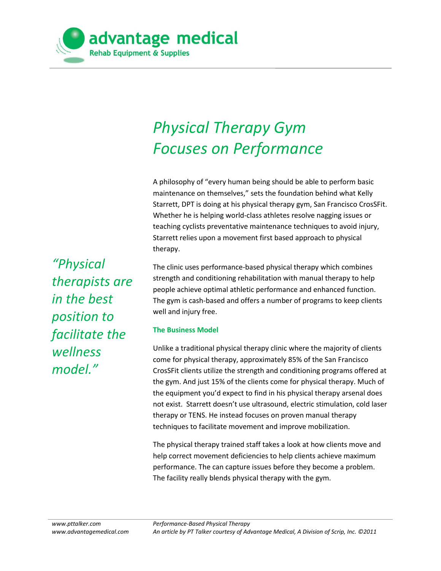

# *Physical Therapy Gym Focuses on Performance*

A philosophy of "every human being should be able to perform basic maintenance on themselves," sets the foundation behind what Kelly Starrett, DPT is doing at his physical therapy gym, San Francisco CrosSFit. Whether he is helping world-class athletes resolve nagging issues or teaching cyclists preventative maintenance techniques to avoid injury, Starrett relies upon a movement first based approach to physical therapy.

*"Physical therapists are in the best position to facilitate the wellness model."*

The clinic uses performance-based physical therapy which combines strength and conditioning rehabilitation with manual therapy to help people achieve optimal athletic performance and enhanced function. The gym is cash-based and offers a number of programs to keep clients well and injury free.

#### **The Business Model**

Unlike a traditional physical therapy clinic where the majority of clients come for physical therapy, approximately 85% of the San Francisco CrosSFit clients utilize the strength and conditioning programs offered at the gym. And just 15% of the clients come for physical therapy. Much of the equipment you'd expect to find in his physical therapy arsenal does not exist. Starrett doesn't use ultrasound, electric stimulation, cold laser therapy or TENS. He instead focuses on proven manual therapy techniques to facilitate movement and improve mobilization.

The physical therapy trained staff takes a look at how clients move and help correct movement deficiencies to help clients achieve maximum performance. The can capture issues before they become a problem. The facility really blends physical therapy with the gym.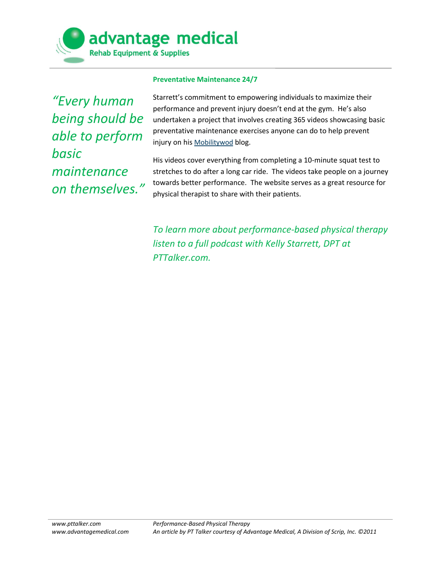

#### **Preventative Maintenance 24/7**

*"Every human being should be able to perform basic maintenance on themselves."* Starrett's commitment to empowering individuals to maximize their performance and prevent injury doesn't end at the gym. He's also undertaken a project that involves creating 365 videos showcasing basic preventative maintenance exercises anyone can do to help prevent injury on his [Mobilitywod](http://www.mobilitywod.com/) blog.

His videos cover everything from completing a 10-minute squat test to stretches to do after a long car ride. The videos take people on a journey towards better performance. The website serves as a great resource for physical therapist to share with their patients.

*To learn more about performance-based physical therapy listen to a full podcast with Kelly Starrett, DPT at PTTalker.com.*